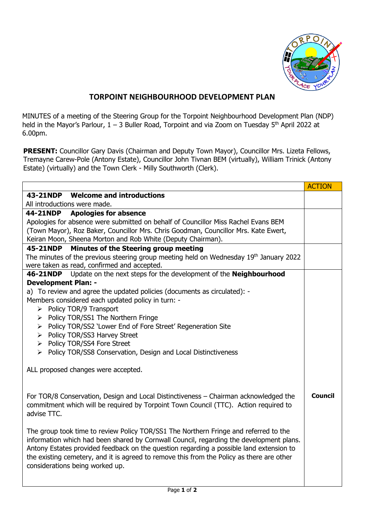

## **TORPOINT NEIGHBOURHOOD DEVELOPMENT PLAN**

MINUTES of a meeting of the Steering Group for the Torpoint Neighbourhood Development Plan (NDP) held in the Mayor's Parlour, 1 – 3 Buller Road, Torpoint and via Zoom on Tuesday 5<sup>th</sup> April 2022 at 6.00pm.

**PRESENT:** Councillor Gary Davis (Chairman and Deputy Town Mayor), Councillor Mrs. Lizeta Fellows, Tremayne Carew-Pole (Antony Estate), Councillor John Tivnan BEM (virtually), William Trinick (Antony Estate) (virtually) and the Town Clerk - Milly Southworth (Clerk).

|                                                                                                                                                                                                                                                                                                                                                                                                            | <b>ACTION</b>  |
|------------------------------------------------------------------------------------------------------------------------------------------------------------------------------------------------------------------------------------------------------------------------------------------------------------------------------------------------------------------------------------------------------------|----------------|
| 43-21NDP Welcome and introductions                                                                                                                                                                                                                                                                                                                                                                         |                |
| All introductions were made.                                                                                                                                                                                                                                                                                                                                                                               |                |
| 44-21NDP Apologies for absence                                                                                                                                                                                                                                                                                                                                                                             |                |
| Apologies for absence were submitted on behalf of Councillor Miss Rachel Evans BEM                                                                                                                                                                                                                                                                                                                         |                |
| (Town Mayor), Roz Baker, Councillor Mrs. Chris Goodman, Councillor Mrs. Kate Ewert,                                                                                                                                                                                                                                                                                                                        |                |
| Keiran Moon, Sheena Morton and Rob White (Deputy Chairman).                                                                                                                                                                                                                                                                                                                                                |                |
| Minutes of the Steering group meeting<br>45-21NDP                                                                                                                                                                                                                                                                                                                                                          |                |
| The minutes of the previous steering group meeting held on Wednesday 19 <sup>th</sup> January 2022                                                                                                                                                                                                                                                                                                         |                |
| were taken as read, confirmed and accepted.<br>Update on the next steps for the development of the Neighbourhood<br>46-21NDP                                                                                                                                                                                                                                                                               |                |
| <b>Development Plan: -</b>                                                                                                                                                                                                                                                                                                                                                                                 |                |
| a) To review and agree the updated policies (documents as circulated): -                                                                                                                                                                                                                                                                                                                                   |                |
| Members considered each updated policy in turn: -                                                                                                                                                                                                                                                                                                                                                          |                |
| Policy TOR/9 Transport<br>≻                                                                                                                                                                                                                                                                                                                                                                                |                |
| Policy TOR/SS1 The Northern Fringe<br>≻                                                                                                                                                                                                                                                                                                                                                                    |                |
| > Policy TOR/SS2 'Lower End of Fore Street' Regeneration Site                                                                                                                                                                                                                                                                                                                                              |                |
| > Policy TOR/SS3 Harvey Street                                                                                                                                                                                                                                                                                                                                                                             |                |
| > Policy TOR/SS4 Fore Street                                                                                                                                                                                                                                                                                                                                                                               |                |
| $\triangleright$ Policy TOR/SS8 Conservation, Design and Local Distinctiveness                                                                                                                                                                                                                                                                                                                             |                |
| ALL proposed changes were accepted.                                                                                                                                                                                                                                                                                                                                                                        |                |
| For TOR/8 Conservation, Design and Local Distinctiveness - Chairman acknowledged the<br>commitment which will be required by Torpoint Town Council (TTC). Action required to<br>advise TTC.                                                                                                                                                                                                                | <b>Council</b> |
| The group took time to review Policy TOR/SS1 The Northern Fringe and referred to the<br>information which had been shared by Cornwall Council, regarding the development plans.<br>Antony Estates provided feedback on the question regarding a possible land extension to<br>the existing cemetery, and it is agreed to remove this from the Policy as there are other<br>considerations being worked up. |                |